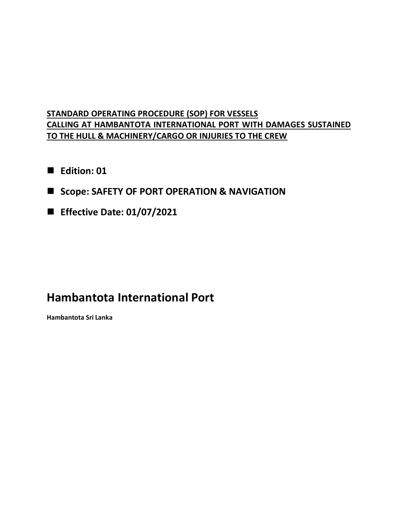# **STANDARD OPERATING PROCEDURE (SOP) FOR VESSELS CALLING AT HAMBANTOTA INTERNATIONAL PORT WITH DAMAGES SUSTAINED TO THE HULL & MACHINERY/CARGO OR INJURIES TO THE CREW**

- **Edition: 01**
- **Scope: SAFETY OF PORT OPERATION & NAVIGATION**
- **Effective Date: 01/07/2021**

# **Hambantota International Port**

**Hambantota Sri Lanka**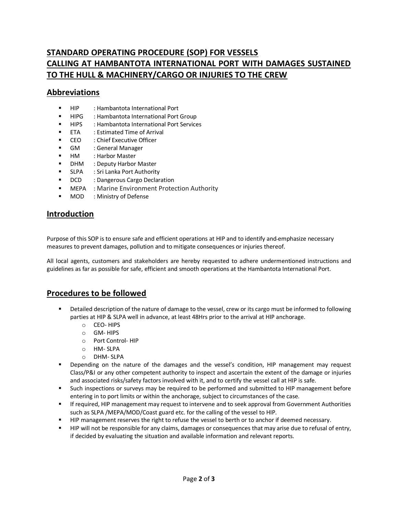# **STANDARD OPERATING PROCEDURE (SOP) FOR VESSELS CALLING AT HAMBANTOTA INTERNATIONAL PORT WITH DAMAGES SUSTAINED TO THE HULL & MACHINERY/CARGO OR INJURIES TO THE CREW**

#### **Abbreviations**

- HIP : Hambantota International Port
- HIPG : Hambantota International Port Group
- HIPS : Hambantota International Port Services
- **ETA** : Estimated Time of Arrival
- CEO : Chief Executive Officer
- GM : General Manager
- **HM** : Harbor Master
- **•** DHM : Deputy Harbor Master
- SLPA : Sri Lanka Port Authority
- **DCD** : Dangerous Cargo Declaration
- **EXECTE:** MEPA : Marine Environment Protection Authority
- **MOD** : Ministry of Defense

#### **Introduction**

Purpose of this SOP is to ensure safe and efficient operations at HIP and to identify and emphasize necessary measures to prevent damages, pollution and to mitigate consequences or injuries thereof.

All local agents, customers and stakeholders are hereby requested to adhere undermentioned instructions and guidelines as far as possible for safe, efficient and smooth operations at the Hambantota International Port.

#### **Procedures to be followed**

- Detailed description of the nature of damage to the vessel, crew or its cargo must be informed to following parties at HIP & SLPA well in advance, at least 48Hrs prior to the arrival at HIP anchorage.
	- o CEO- HIPS
	- o GM- HIPS
	- o Port Control- HIP
	- o HM- SLPA
	- o DHM- SLPA
- **•** Depending on the nature of the damages and the vessel's condition, HIP management may request Class/P&I or any other competent authority to inspect and ascertain the extent of the damage or injuries and associated risks/safety factors involved with it, and to certify the vessel call at HIP is safe.
- Such inspections or surveys may be required to be performed and submitted to HIP management before entering in to port limits or within the anchorage, subject to circumstances of the case.
- **If required, HIP management may request to intervene and to seek approval from Government Authorities** such as SLPA /MEPA/MOD/Coast guard etc. for the calling of the vessel to HIP.
- **HIP management reserves the right to refuse the vessel to berth or to anchor if deemed necessary.**
- **HIP will not be responsible for any claims, damages or consequences that may arise due to refusal of entry,** if decided by evaluating the situation and available information and relevant reports.